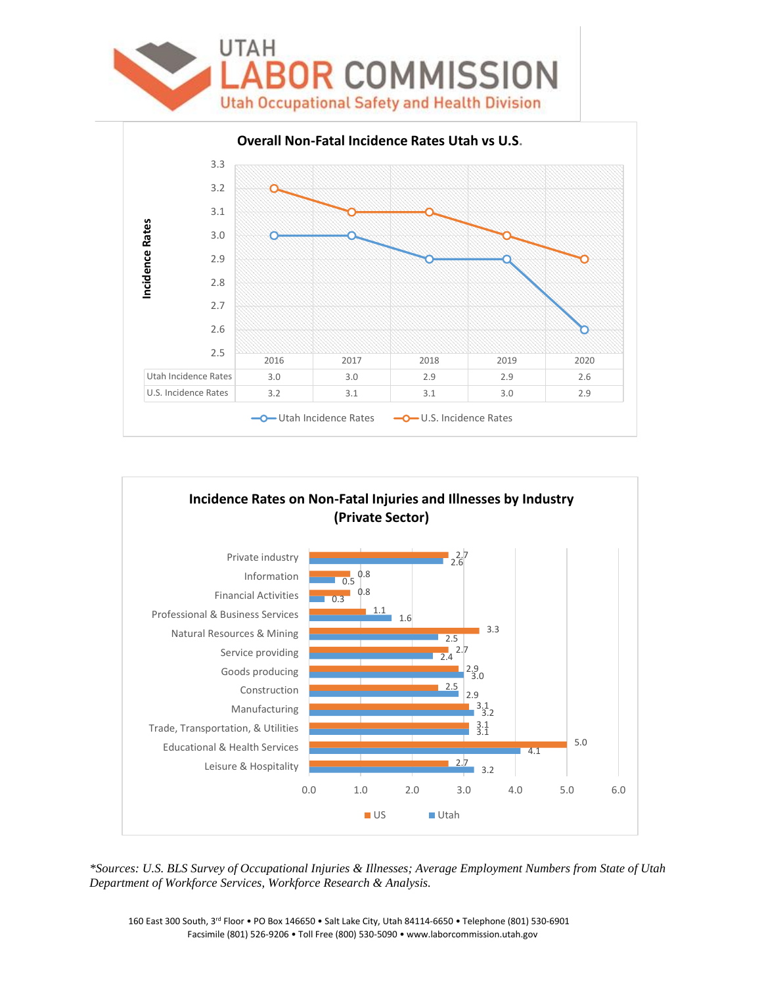



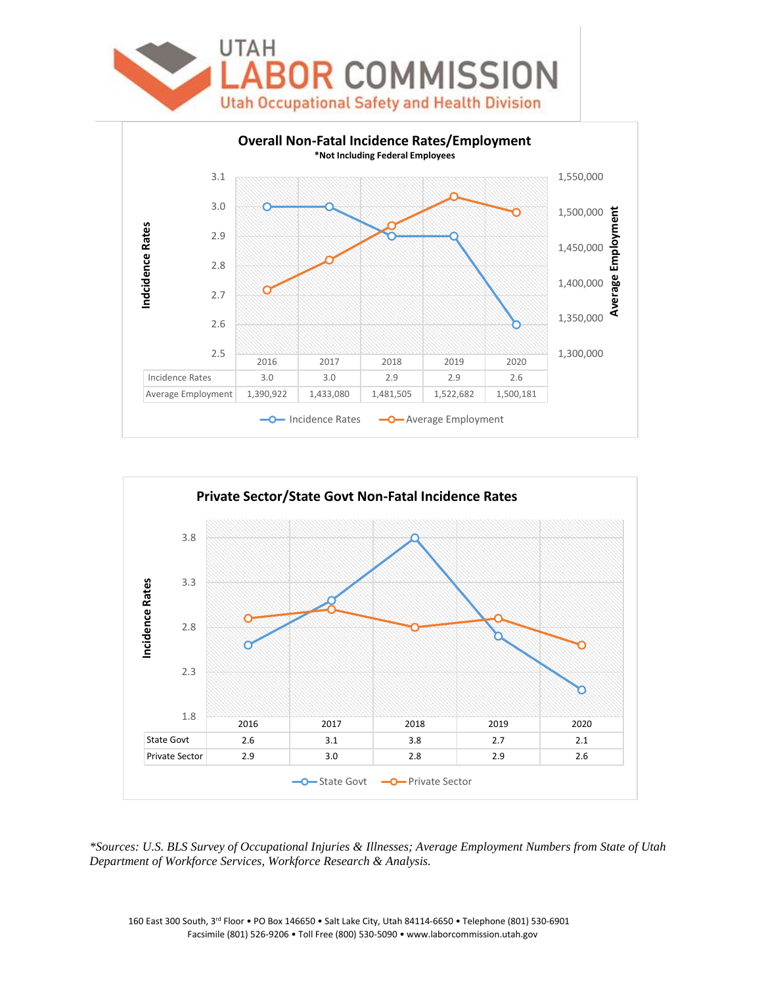



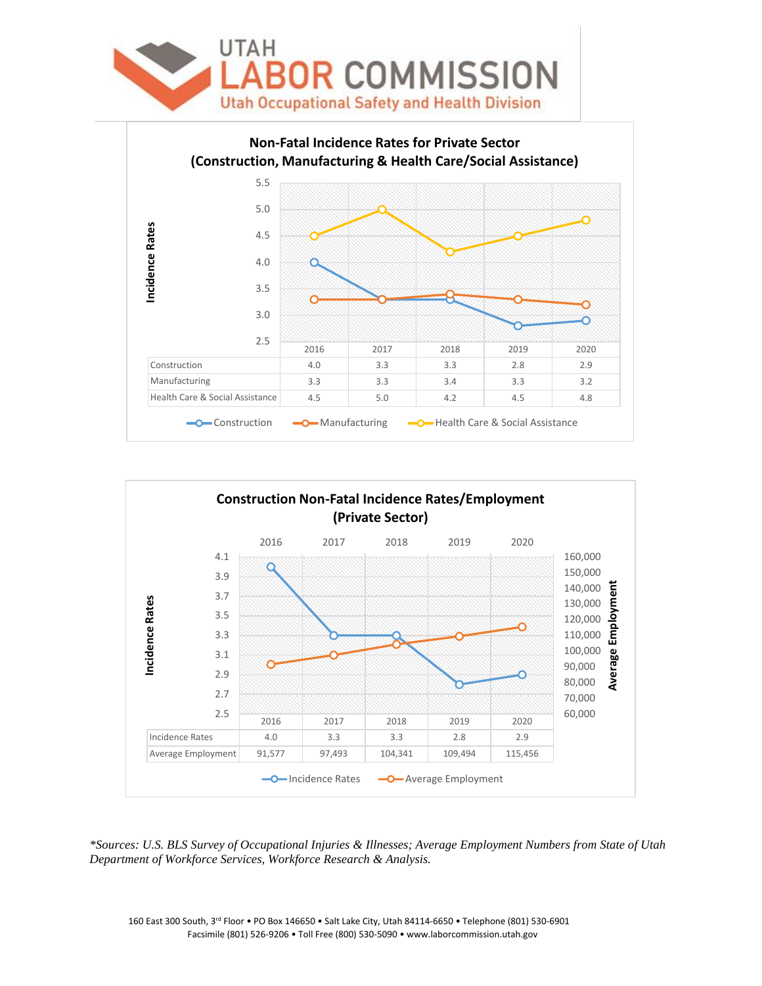



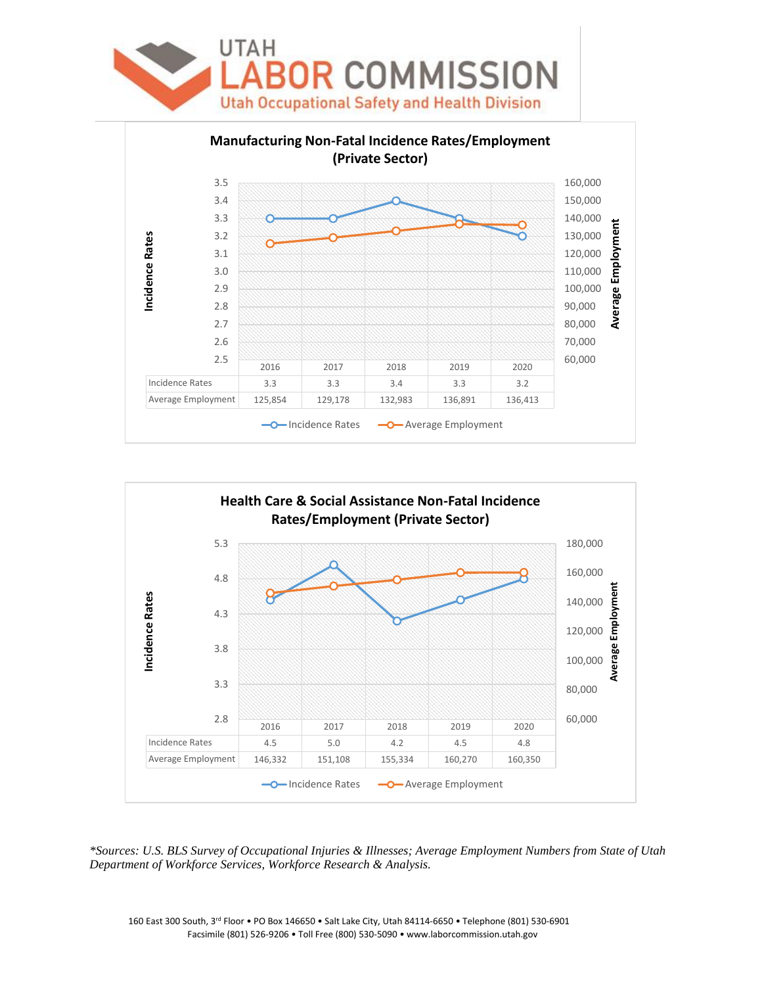





*\*Sources: U.S. BLS Survey of Occupational Injuries & Illnesses; Average Employment Numbers from State of Utah Department of Workforce Services, Workforce Research & Analysis.*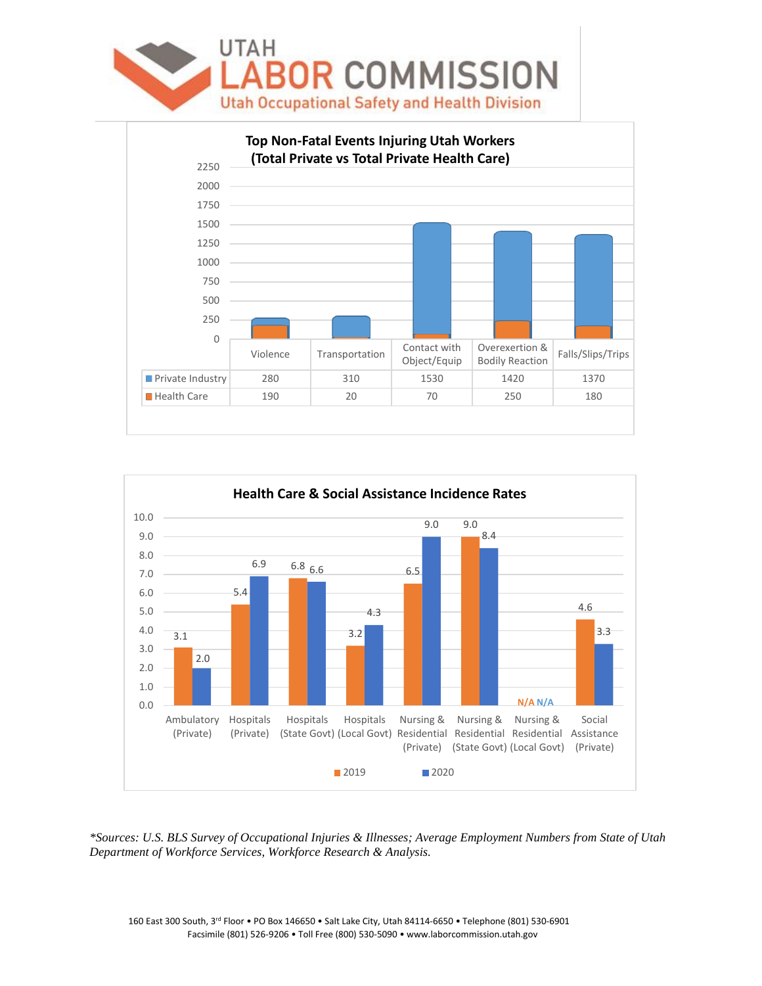



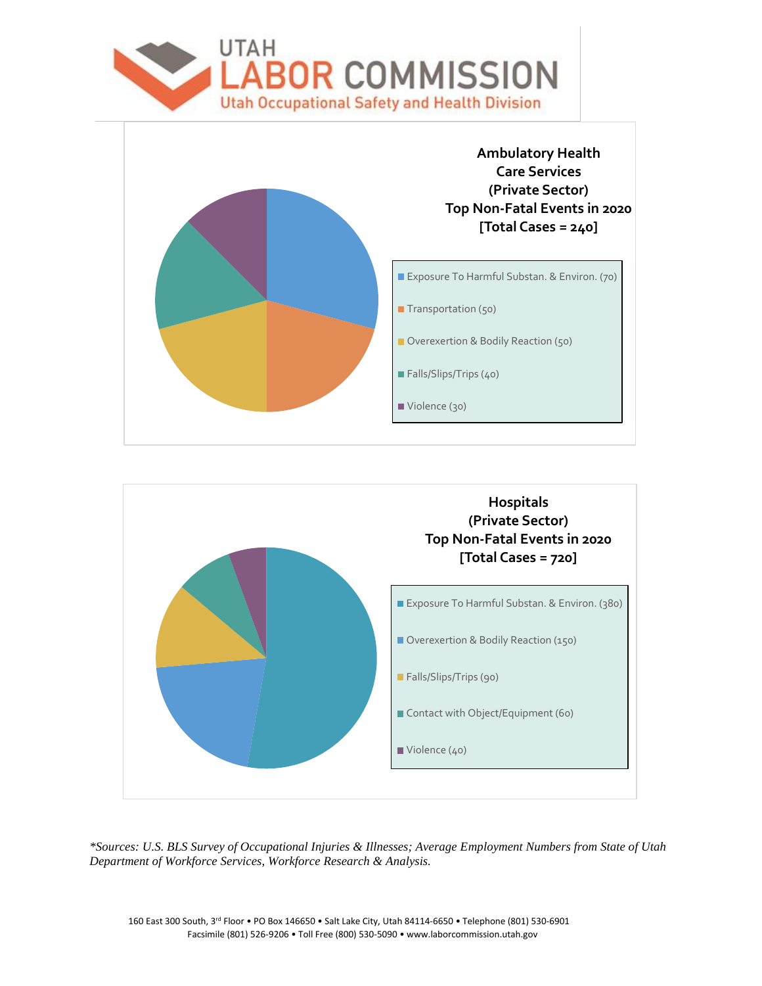



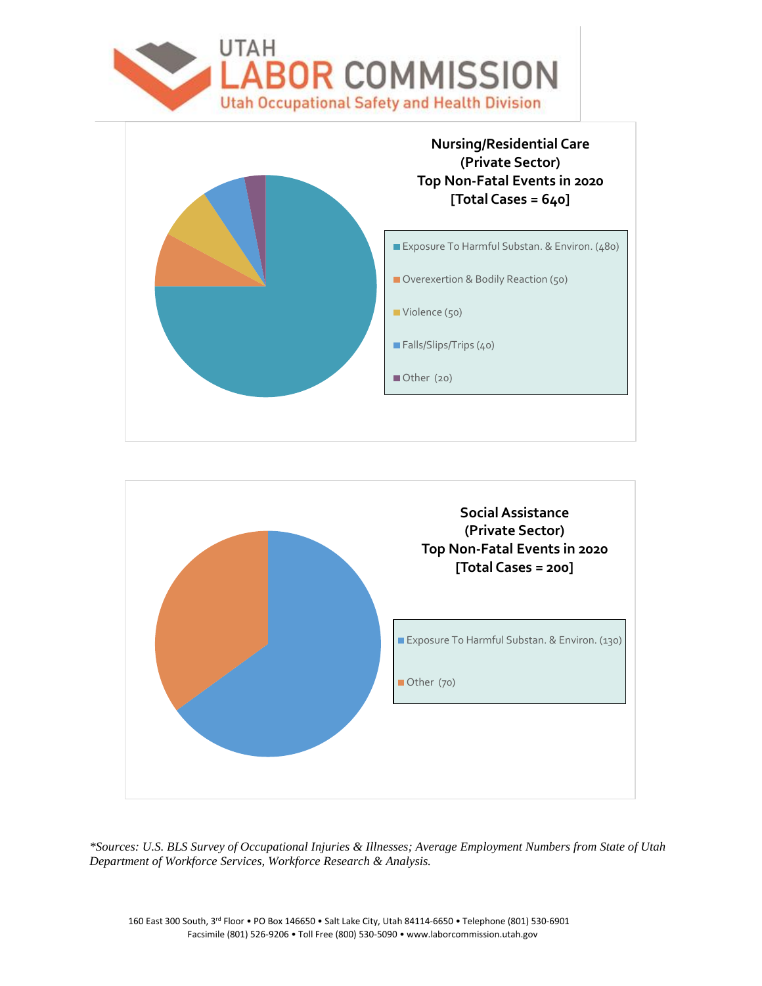



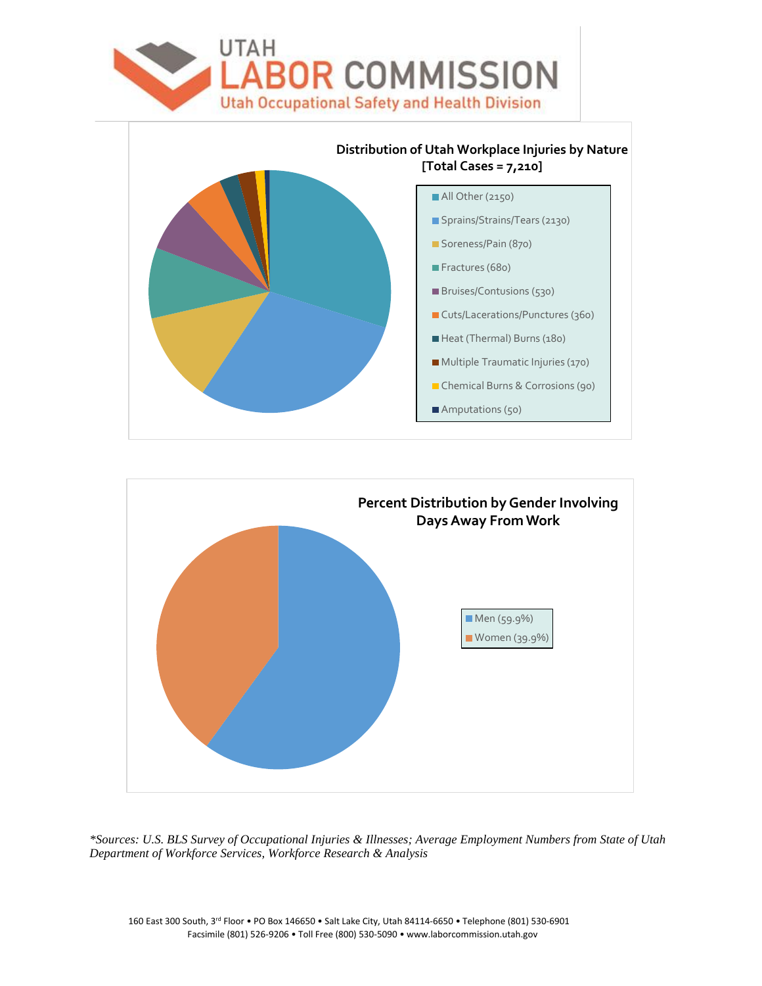



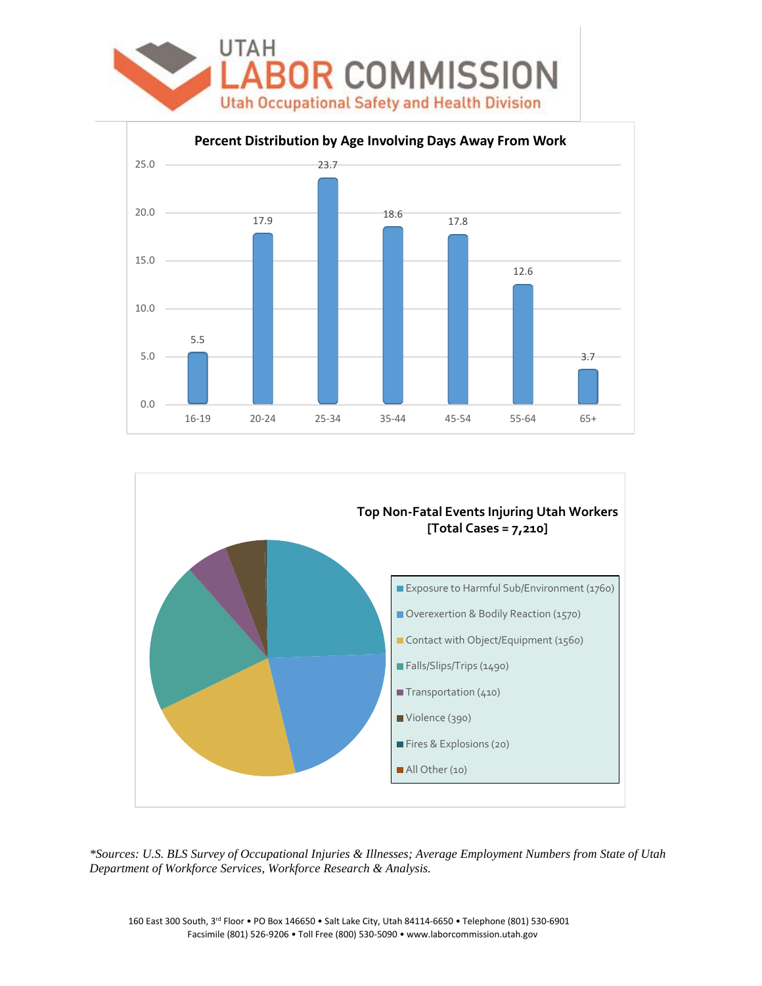



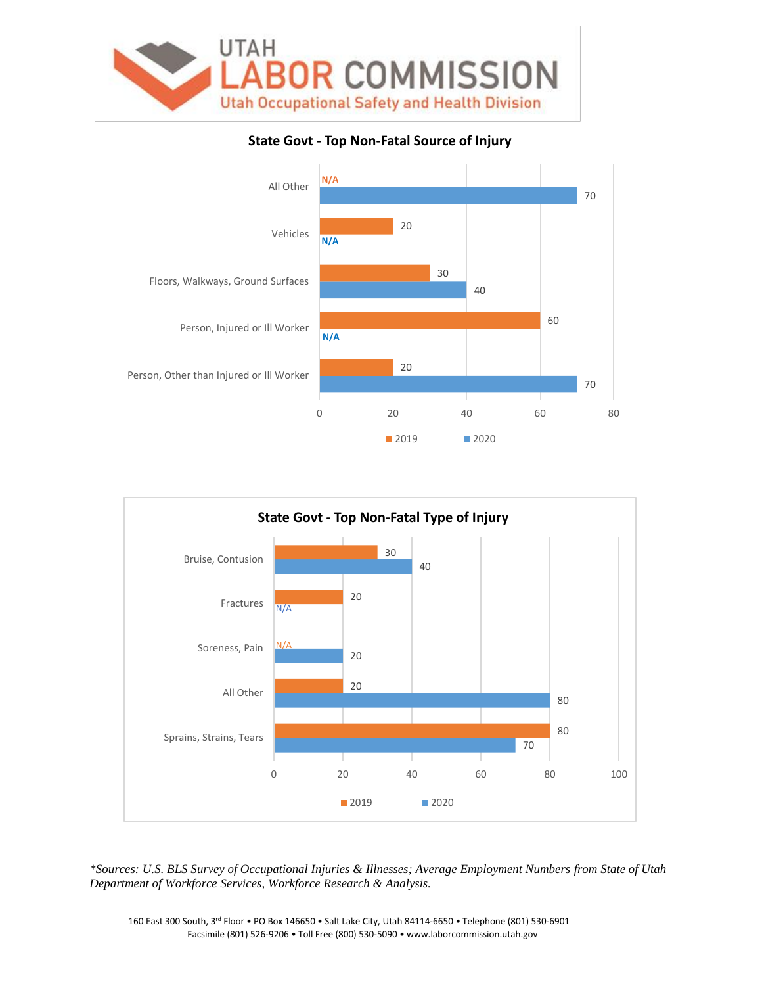



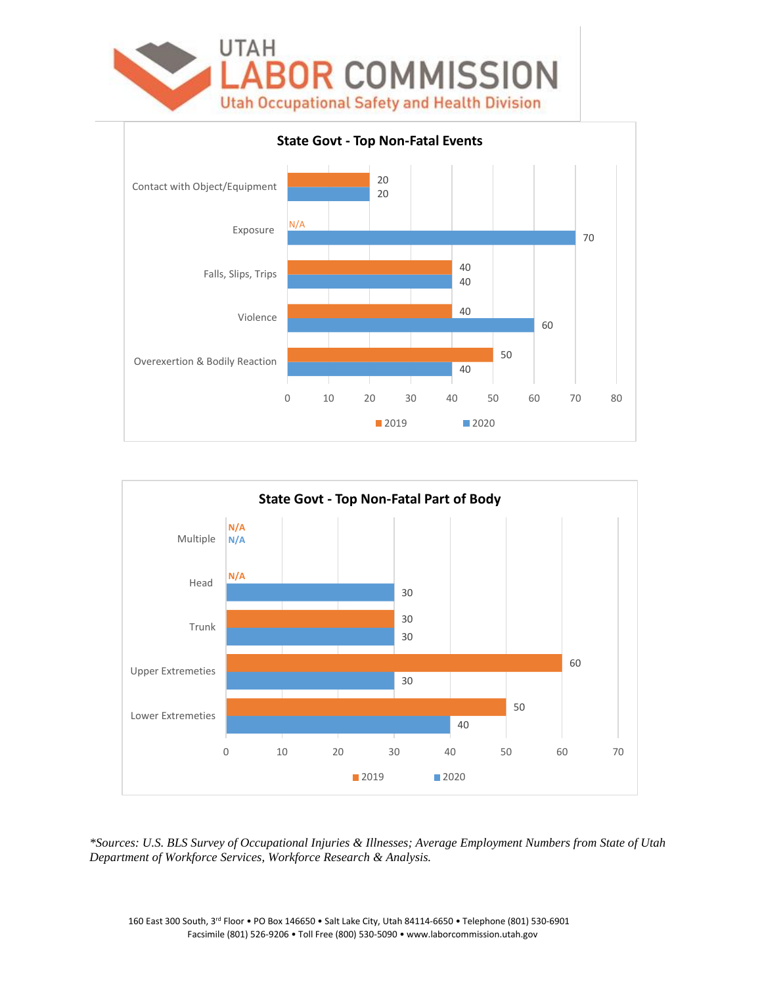



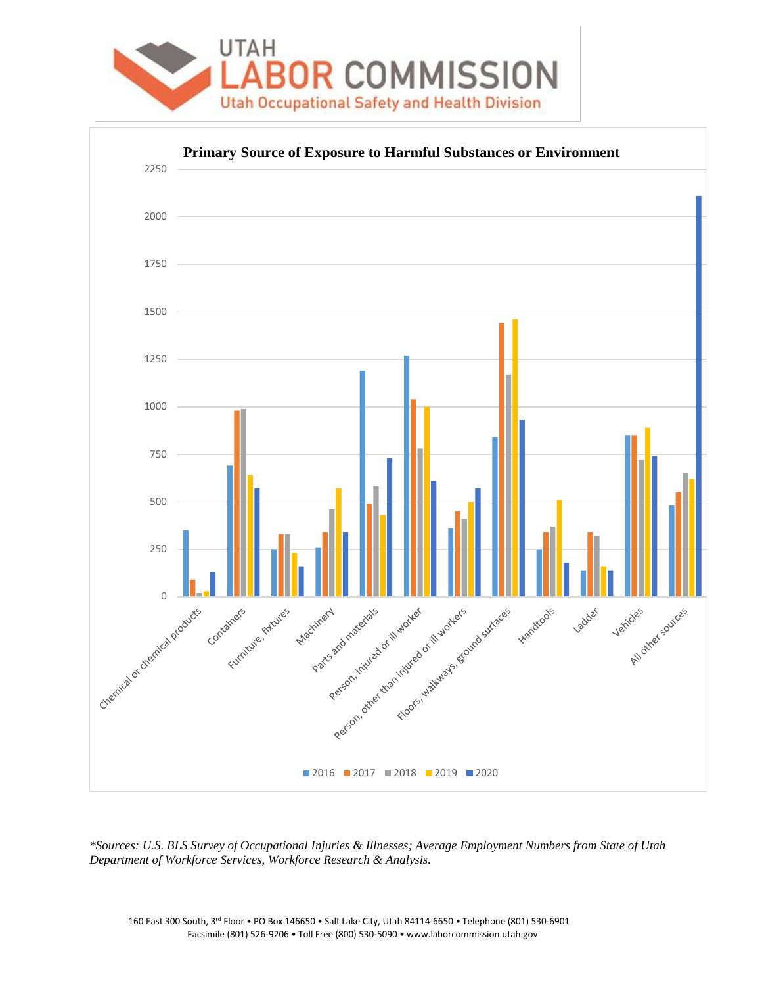

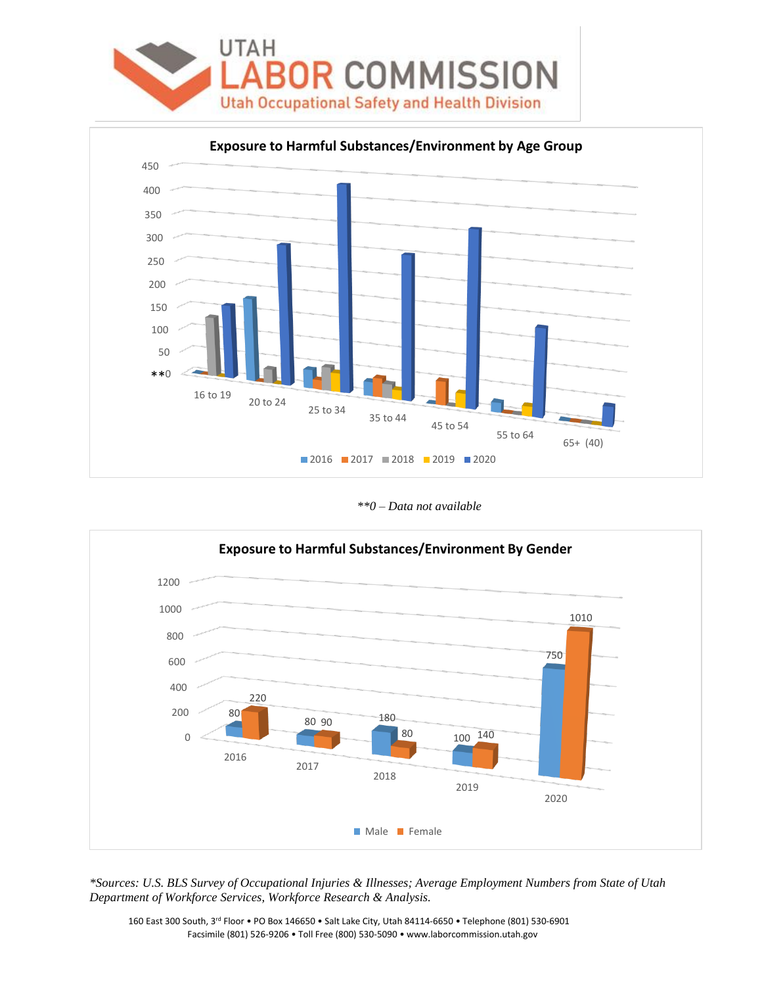



*\*\*0 – Data not available* 

![](_page_12_Figure_3.jpeg)